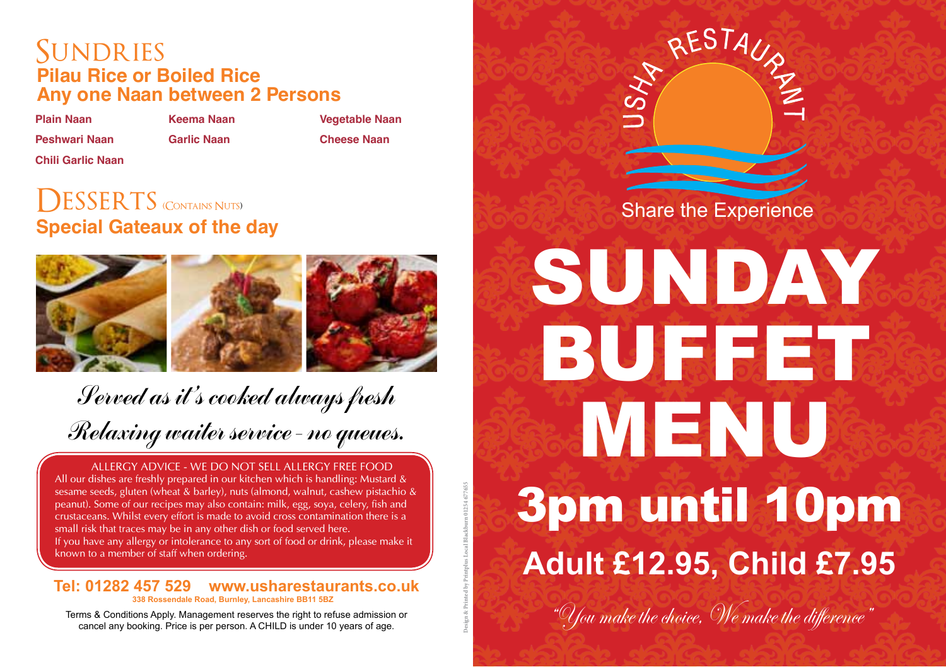### SUNDRIES **Pilau Rice or Boiled Rice Any one Naan between 2 Persons**

**Plain Naan Keema Naan Vegetable Naan**

**Chili Garlic Naan**

**Peshwari Naan Garlic Naan Cheese Naan**

**Design & Printed by Printplus Local Blackburn 01254 677655**

# **Special Gateaux of the day DESSERTS** CONTAINS NUTS) **Share the Experience**



# Served as it's cooked always fresh Relaxing waiter service - no queues.

ALLERGY ADVICE - WE DO NOT SELL ALLERGY FREE FOOD

All our dishes are freshly prepared in our kitchen which is handling: Mustard & sesame seeds, gluten (wheat & barley), nuts (almond, walnut, cashew pistachio & peanut). Some of our recipes may also contain: milk, egg, soya, celery, fish and crustaceans. Whilst every effort is made to avoid cross contamination there is a small risk that traces may be in any other dish or food served here. If you have any allergy or intolerance to any sort of food or drink, please make it known to a member of staff when ordering.

#### **Tel: 01282 457 529 www.usharestaurants.co.uk 338 Rossendale Road, Burnley, Lancashire BB11 5BZ**

cancel any booking. Price is per person. A CHILD is under 10 years of age.



# SUNDAY **BUFFET** MENU 3pm until 10pm **Adult £12.95, Child £7.95**

Terms & Conditions Apply. Management reserves the right to refuse admission or  $\frac{1}{2}$   $\frac{1}{2}$   $\frac{1}{2}$   $\frac{1}{2}$   $\frac{1}{2}$   $\frac{1}{2}$   $\frac{1}{2}$   $\frac{1}{2}$   $\frac{1}{2}$   $\frac{1}{2}$   $\frac{1}{2}$   $\frac{1}{2}$   $\frac{1}{2}$   $\frac{1}{2}$   $\$